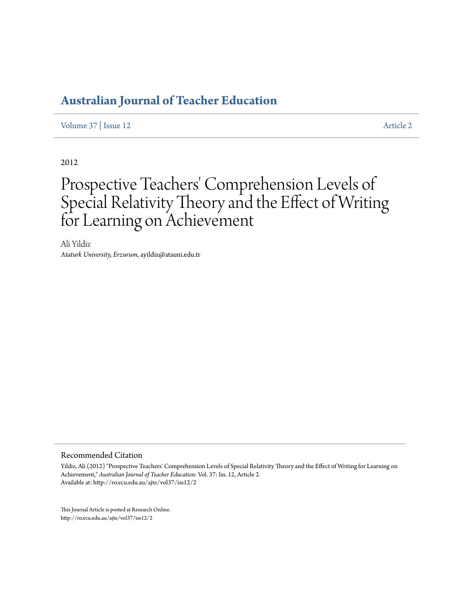[Volume 37](http://ro.ecu.edu.au/ajte/vol37) | [Issue 12](http://ro.ecu.edu.au/ajte/vol37/iss12) [Article 2](http://ro.ecu.edu.au/ajte/vol37/iss12/2)

2012

# Prospective Teachers' Comprehension Levels of Special Relativity Theory and the Effect of Writing for Learning on Achievement

Ali Yildiz *Ataturk University, Erzurum*, ayildiz@atauni.edu.tr

#### Recommended Citation

Yildiz, Ali (2012) "Prospective Teachers' Comprehension Levels of Special Relativity Theory and the Effect of Writing for Learning on Achievement," *Australian Journal of Teacher Education*: Vol. 37: Iss. 12, Article 2. Available at: http://ro.ecu.edu.au/ajte/vol37/iss12/2

This Journal Article is posted at Research Online. http://ro.ecu.edu.au/ajte/vol37/iss12/2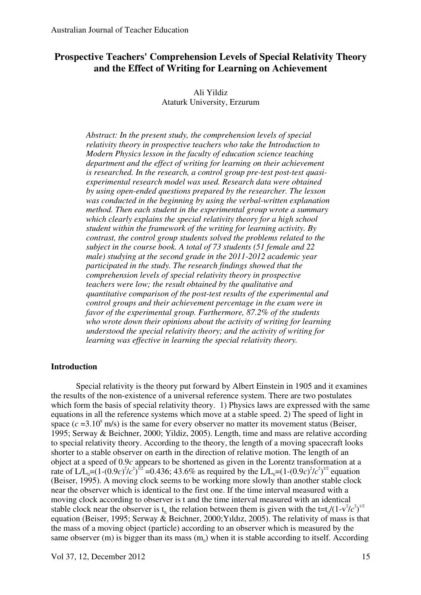# **Prospective Teachers' Comprehension Levels of Special Relativity Theory and the Effect of Writing for Learning on Achievement**

# Ali Yildiz Ataturk University, Erzurum

*Abstract: In the present study, the comprehension levels of special relativity theory in prospective teachers who take the Introduction to Modern Physics lesson in the faculty of education science teaching department and the effect of writing for learning on their achievement is researched. In the research, a control group pre-test post-test quasiexperimental research model was used. Research data were obtained by using open-ended questions prepared by the researcher. The lesson was conducted in the beginning by using the verbal-written explanation method. Then each student in the experimental group wrote a summary which clearly explains the special relativity theory for a high school student within the framework of the writing for learning activity. By contrast, the control group students solved the problems related to the subject in the course book. A total of 73 students (51 female and 22 male) studying at the second grade in the 2011-2012 academic year participated in the study. The research findings showed that the comprehension levels of special relativity theory in prospective teachers were low; the result obtained by the qualitative and quantitative comparison of the post-test results of the experimental and control groups and their achievement percentage in the exam were in favor of the experimental group. Furthermore, 87.2% of the students who wrote down their opinions about the activity of writing for learning understood the special relativity theory; and the activity of writing for learning was effective in learning the special relativity theory.* 

# **Introduction**

Special relativity is the theory put forward by Albert Einstein in 1905 and it examines the results of the non-existence of a universal reference system. There are two postulates which form the basis of special relativity theory. 1) Physics laws are expressed with the same equations in all the reference systems which move at a stable speed. 2) The speed of light in space  $(c = 3.10<sup>8</sup> \text{ m/s})$  is the same for every observer no matter its movement status (Beiser, 1995; Serway & Beichner, 2000; Yildiz, 2005). Length, time and mass are relative according to special relativity theory. According to the theory, the length of a moving spacecraft looks shorter to a stable observer on earth in the direction of relative motion. The length of an object at a speed of 0.9*c* appears to be shortened as given in the Lorentz transformation at a rate of  $L/L_0 = (1-(0.9c)^2/c^2)^{1/2} = 0.436$ ; 43.6% as required by the  $L/L_0 = (1-(0.9c)^2/c^2)^{1/2}$  equation (Beiser, 1995). A moving clock seems to be working more slowly than another stable clock near the observer which is identical to the first one. If the time interval measured with a moving clock according to observer is t and the time interval measured with an identical stable clock near the observer is t<sub>0</sub> the relation between them is given with the t=t<sub>0</sub>/(1-v<sup>2</sup>/c<sup>2</sup>)<sup>1/2</sup> equation (Beiser, 1995; Serway & Beichner, 2000;Yıldız, 2005). The relativity of mass is that the mass of a moving object (particle) according to an observer which is measured by the same observer  $(m)$  is bigger than its mass  $(m_0)$  when it is stable according to itself. According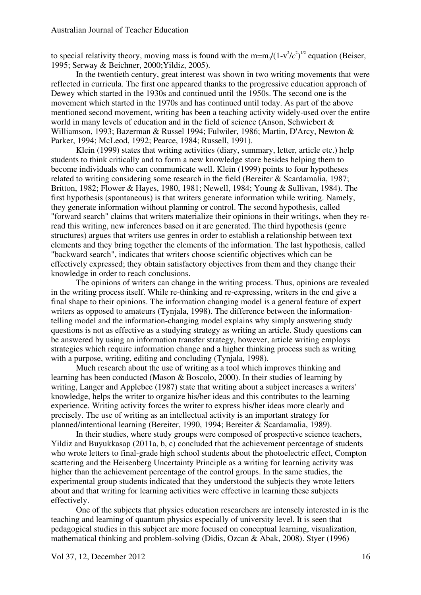to special relativity theory, moving mass is found with the  $m=m_0/(1-v^2/c^2)^{1/2}$  equation (Beiser, 1995; Serway & Beichner, 2000;Yildiz, 2005).

In the twentieth century, great interest was shown in two writing movements that were reflected in curricula. The first one appeared thanks to the progressive education approach of Dewey which started in the 1930s and continued until the 1950s. The second one is the movement which started in the 1970s and has continued until today. As part of the above mentioned second movement, writing has been a teaching activity widely-used over the entire world in many levels of education and in the field of science (Anson, Schwiebert & Williamson, 1993; Bazerman & Russel 1994; Fulwiler, 1986; Martin, D'Arcy, Newton & Parker, 1994; McLeod, 1992; Pearce, 1984; Russell, 1991).

Klein (1999) states that writing activities (diary, summary, letter, article etc.) help students to think critically and to form a new knowledge store besides helping them to become individuals who can communicate well. Klein (1999) points to four hypotheses related to writing considering some research in the field (Bereiter & Scardamalia, 1987; Britton, 1982; Flower & Hayes, 1980, 1981; Newell, 1984; Young & Sullivan, 1984). The first hypothesis (spontaneous) is that writers generate information while writing. Namely, they generate information without planning or control. The second hypothesis, called "forward search" claims that writers materialize their opinions in their writings, when they reread this writing, new inferences based on it are generated. The third hypothesis (genre structures) argues that writers use genres in order to establish a relationship between text elements and they bring together the elements of the information. The last hypothesis, called "backward search", indicates that writers choose scientific objectives which can be effectively expressed; they obtain satisfactory objectives from them and they change their knowledge in order to reach conclusions.

The opinions of writers can change in the writing process. Thus, opinions are revealed in the writing process itself. While re-thinking and re-expressing, writers in the end give a final shape to their opinions. The information changing model is a general feature of expert writers as opposed to amateurs (Tynjala, 1998). The difference between the informationtelling model and the information-changing model explains why simply answering study questions is not as effective as a studying strategy as writing an article. Study questions can be answered by using an information transfer strategy, however, article writing employs strategies which require information change and a higher thinking process such as writing with a purpose, writing, editing and concluding (Tyniala, 1998).

Much research about the use of writing as a tool which improves thinking and learning has been conducted (Mason & Boscolo, 2000). In their studies of learning by writing, Langer and Applebee (1987) state that writing about a subject increases a writers' knowledge, helps the writer to organize his/her ideas and this contributes to the learning experience. Writing activity forces the writer to express his/her ideas more clearly and precisely. The use of writing as an intellectual activity is an important strategy for planned/intentional learning (Bereiter, 1990, 1994; Bereiter & Scardamalia, 1989).

In their studies, where study groups were composed of prospective science teachers, Yildiz and Buyukkasap (2011a, b, c) concluded that the achievement percentage of students who wrote letters to final-grade high school students about the photoelectric effect, Compton scattering and the Heisenberg Uncertainty Principle as a writing for learning activity was higher than the achievement percentage of the control groups. In the same studies, the experimental group students indicated that they understood the subjects they wrote letters about and that writing for learning activities were effective in learning these subjects effectively.

One of the subjects that physics education researchers are intensely interested in is the teaching and learning of quantum physics especially of university level. It is seen that pedagogical studies in this subject are more focused on conceptual learning, visualization, mathematical thinking and problem-solving (Didis, Ozcan & Abak, 2008). Styer (1996)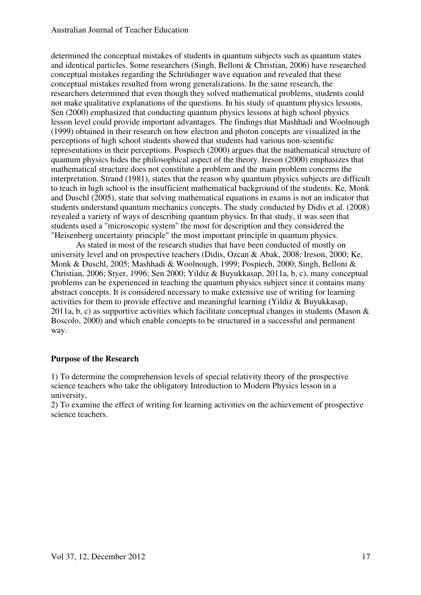determined the conceptual mistakes of students in quantum subjects such as quantum states and identical particles. Some researchers (Singh, Belloni & Christian, 2006) have researched conceptual mistakes regarding the Schrödinger wave equation and revealed that these conceptual mistakes resulted from wrong generalizations. In the same research, the researchers determined that even though they solved mathematical problems, students could not make qualitative explanations of the questions. In his study of quantum physics lessons, Sen (2000) emphasized that conducting quantum physics lessons at high school physics lesson level could provide important advantages. The findings that Mashhadi and Woolnough (1999) obtained in their research on how electron and photon concepts are visualized in the perceptions of high school students showed that students had various non-scientific representations in their perceptions. Pospiech (2000) argues that the mathematical structure of quantum physics hides the philosophical aspect of the theory. Ireson (2000) emphasizes that mathematical structure does not constitute a problem and the main problem concerns the interpretation. Strand (1981), states that the reason why quantum physics subjects are difficult to teach in high school is the insufficient mathematical background of the students. Ke, Monk and Duschl (2005), state that solving mathematical equations in exams is not an indicator that students understand quantum mechanics concepts. The study conducted by Didis et al. (2008) revealed a variety of ways of describing quantum physics. In that study, it was seen that students used a "microscopic system" the most for description and they considered the "Heisenberg uncertainty principle" the most important principle in quantum physics.

As stated in most of the research studies that have been conducted of mostly on university level and on prospective teachers (Didis, Ozcan & Abak, 2008; Ireson, 2000; Ke, Monk & Duschl, 2005; Mashhadi & Woolnough, 1999; Pospiech, 2000; Singh, Belloni & Christian, 2006; Styer, 1996; Sen 2000; Yildiz & Buyukkasap, 2011a, b, c), many conceptual problems can be experienced in teaching the quantum physics subject since it contains many abstract concepts. It is considered necessary to make extensive use of writing for learning activities for them to provide effective and meaningful learning (Yildiz & Buyukkasap, 2011a, b, c) as supportive activities which facilitate conceptual changes in students (Mason  $\&$ Boscolo, 2000) and which enable concepts to be structured in a successful and permanent way.

# **Purpose of the Research**

1) To determine the comprehension levels of special relativity theory of the prospective science teachers who take the obligatory Introduction to Modern Physics lesson in a university,

2) To examine the effect of writing for learning activities on the achievement of prospective science teachers.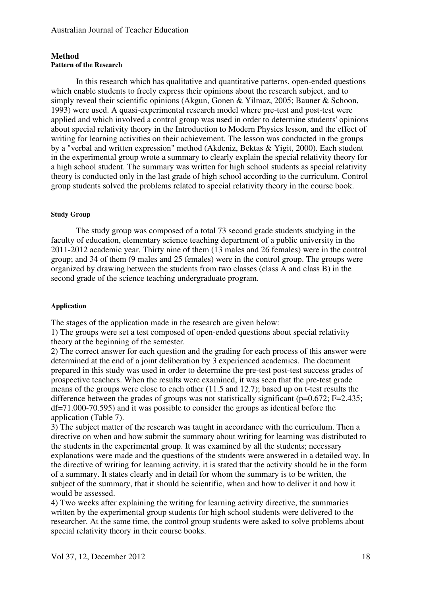## **Method Pattern of the Research**

In this research which has qualitative and quantitative patterns, open-ended questions which enable students to freely express their opinions about the research subject, and to simply reveal their scientific opinions (Akgun, Gonen & Yilmaz, 2005; Bauner & Schoon, 1993) were used. A quasi-experimental research model where pre-test and post-test were applied and which involved a control group was used in order to determine students' opinions about special relativity theory in the Introduction to Modern Physics lesson, and the effect of writing for learning activities on their achievement. The lesson was conducted in the groups by a "verbal and written expression" method (Akdeniz, Bektas & Yigit, 2000). Each student in the experimental group wrote a summary to clearly explain the special relativity theory for a high school student. The summary was written for high school students as special relativity theory is conducted only in the last grade of high school according to the curriculum. Control group students solved the problems related to special relativity theory in the course book.

#### **Study Group**

The study group was composed of a total 73 second grade students studying in the faculty of education, elementary science teaching department of a public university in the 2011-2012 academic year. Thirty nine of them (13 males and 26 females) were in the control group; and 34 of them (9 males and 25 females) were in the control group. The groups were organized by drawing between the students from two classes (class A and class B) in the second grade of the science teaching undergraduate program.

#### **Application**

The stages of the application made in the research are given below:

1) The groups were set a test composed of open-ended questions about special relativity theory at the beginning of the semester.

2) The correct answer for each question and the grading for each process of this answer were determined at the end of a joint deliberation by 3 experienced academics. The document prepared in this study was used in order to determine the pre-test post-test success grades of prospective teachers. When the results were examined, it was seen that the pre-test grade means of the groups were close to each other (11.5 and 12.7); based up on t-test results the difference between the grades of groups was not statistically significant ( $p=0.672$ ; F=2.435; df=71.000-70.595) and it was possible to consider the groups as identical before the application (Table 7).

3) The subject matter of the research was taught in accordance with the curriculum. Then a directive on when and how submit the summary about writing for learning was distributed to the students in the experimental group. It was examined by all the students; necessary explanations were made and the questions of the students were answered in a detailed way. In the directive of writing for learning activity, it is stated that the activity should be in the form of a summary. It states clearly and in detail for whom the summary is to be written, the subject of the summary, that it should be scientific, when and how to deliver it and how it would be assessed.

4) Two weeks after explaining the writing for learning activity directive, the summaries written by the experimental group students for high school students were delivered to the researcher. At the same time, the control group students were asked to solve problems about special relativity theory in their course books.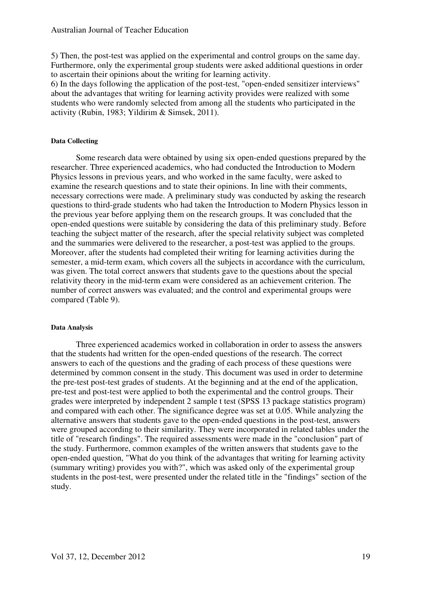5) Then, the post-test was applied on the experimental and control groups on the same day. Furthermore, only the experimental group students were asked additional questions in order to ascertain their opinions about the writing for learning activity.

6) In the days following the application of the post-test, "open-ended sensitizer interviews" about the advantages that writing for learning activity provides were realized with some students who were randomly selected from among all the students who participated in the activity (Rubin, 1983; Yildirim & Simsek, 2011).

#### **Data Collecting**

Some research data were obtained by using six open-ended questions prepared by the researcher. Three experienced academics, who had conducted the Introduction to Modern Physics lessons in previous years, and who worked in the same faculty, were asked to examine the research questions and to state their opinions. In line with their comments, necessary corrections were made. A preliminary study was conducted by asking the research questions to third-grade students who had taken the Introduction to Modern Physics lesson in the previous year before applying them on the research groups. It was concluded that the open-ended questions were suitable by considering the data of this preliminary study. Before teaching the subject matter of the research, after the special relativity subject was completed and the summaries were delivered to the researcher, a post-test was applied to the groups. Moreover, after the students had completed their writing for learning activities during the semester, a mid-term exam, which covers all the subjects in accordance with the curriculum, was given. The total correct answers that students gave to the questions about the special relativity theory in the mid-term exam were considered as an achievement criterion. The number of correct answers was evaluated; and the control and experimental groups were compared (Table 9).

#### **Data Analysis**

Three experienced academics worked in collaboration in order to assess the answers that the students had written for the open-ended questions of the research. The correct answers to each of the questions and the grading of each process of these questions were determined by common consent in the study. This document was used in order to determine the pre-test post-test grades of students. At the beginning and at the end of the application, pre-test and post-test were applied to both the experimental and the control groups. Their grades were interpreted by independent 2 sample t test (SPSS 13 package statistics program) and compared with each other. The significance degree was set at 0.05. While analyzing the alternative answers that students gave to the open-ended questions in the post-test, answers were grouped according to their similarity. They were incorporated in related tables under the title of "research findings". The required assessments were made in the "conclusion" part of the study. Furthermore, common examples of the written answers that students gave to the open-ended question, "What do you think of the advantages that writing for learning activity (summary writing) provides you with?", which was asked only of the experimental group students in the post-test, were presented under the related title in the "findings" section of the study.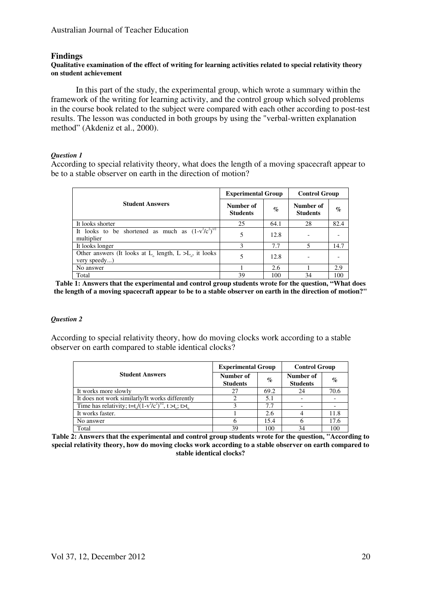### **Findings**

#### **Qualitative examination of the effect of writing for learning activities related to special relativity theory on student achievement**

In this part of the study, the experimental group, which wrote a summary within the framework of the writing for learning activity, and the control group which solved problems in the course book related to the subject were compared with each other according to post-test results. The lesson was conducted in both groups by using the "verbal-written explanation method" (Akdeniz et al., 2000).

#### *Question 1*

According to special relativity theory, what does the length of a moving spacecraft appear to be to a stable observer on earth in the direction of motion?

|                                                                                  | <b>Experimental Group</b>    |                 | <b>Control Group</b>         |      |
|----------------------------------------------------------------------------------|------------------------------|-----------------|------------------------------|------|
| <b>Student Answers</b>                                                           | Number of<br><b>Students</b> | $\mathcal{O}_0$ | Number of<br><b>Students</b> | $\%$ |
| It looks shorter                                                                 | 25                           | 64.1            | 28                           | 82.4 |
| It looks to be shortened as much as $(1-\overline{v^2}/c^2)^{1/2}$<br>multiplier | 5                            | 12.8            |                              |      |
| It looks longer                                                                  |                              | 7.7             | $\overline{\mathbf{S}}$      | 14.7 |
| Other answers (It looks at $L_0$ length, $L > L_0$ , it looks<br>very speedy)    | 5                            | 12.8            |                              |      |
| No answer                                                                        |                              | 2.6             |                              | 2.9  |
| Total                                                                            | 39                           | 100             | 34                           | 100  |

**Table 1: Answers that the experimental and control group students wrote for the question, "What does the length of a moving spacecraft appear to be to a stable observer on earth in the direction of motion?"** 

#### *Question 2*

According to special relativity theory, how do moving clocks work according to a stable observer on earth compared to stable identical clocks?

|                                                                                                   | <b>Experimental Group</b>    |      | <b>Control Group</b>         |      |
|---------------------------------------------------------------------------------------------------|------------------------------|------|------------------------------|------|
| <b>Student Answers</b>                                                                            | Number of<br><b>Students</b> | $\%$ | Number of<br><b>Students</b> | $\%$ |
| It works more slowly                                                                              | 27                           | 69.2 | 24                           | 70.6 |
| It does not work similarly/It works differently                                                   |                              | 5.1  |                              |      |
| Time has relativity; t=t <sub>o</sub> $/(1-v^2/c^2)^{1/2}$ , t >t <sub>o</sub> ; t>t <sub>o</sub> |                              | 7.7  |                              |      |
| It works faster.                                                                                  |                              | 2.6  |                              | 11.8 |
| No answer                                                                                         |                              | 15.4 |                              | 17.6 |
| Total                                                                                             | 39                           | 100  | 34                           | 100  |

**Table 2: Answers that the experimental and control group students wrote for the question, "According to special relativity theory, how do moving clocks work according to a stable observer on earth compared to stable identical clocks?**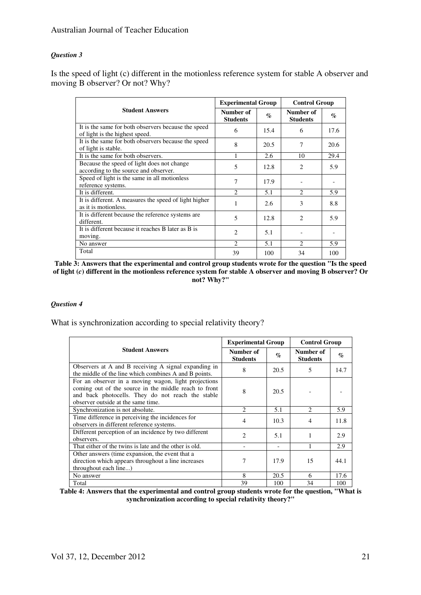#### *Question 3*

Is the speed of light (c) different in the motionless reference system for stable A observer and moving B observer? Or not? Why?

|                                                                                       |                              | <b>Experimental Group</b> |                              | <b>Control Group</b> |  |
|---------------------------------------------------------------------------------------|------------------------------|---------------------------|------------------------------|----------------------|--|
| <b>Student Answers</b>                                                                | Number of<br><b>Students</b> | $\mathcal{O}_0$           | Number of<br><b>Students</b> | $\%$                 |  |
| It is the same for both observers because the speed<br>of light is the highest speed. | 6                            | 15.4                      | 6                            | 17.6                 |  |
| It is the same for both observers because the speed<br>of light is stable.            | 8                            | 20.5                      | 7                            | 20.6                 |  |
| It is the same for both observers.                                                    |                              | 2.6                       | 10                           | 29.4                 |  |
| Because the speed of light does not change<br>according to the source and observer.   | 5                            | 12.8                      | $\overline{c}$               | 5.9                  |  |
| Speed of light is the same in all motionless<br>reference systems.                    | 7                            | 17.9                      |                              |                      |  |
| It is different.                                                                      | $\mathcal{D}$                | 5.1                       | $\mathcal{L}$                | 5.9                  |  |
| It is different. A measures the speed of light higher<br>as it is motionless.         | 1                            | 2.6                       | 3                            | 8.8                  |  |
| It is different because the reference systems are<br>different.                       | 5                            | 12.8                      | $\mathcal{D}_{\mathcal{L}}$  | 5.9                  |  |
| It is different because it reaches B later as B is<br>moving.                         | $\overline{c}$               | 5.1                       |                              |                      |  |
| No answer                                                                             | $\mathcal{L}$                | 5.1                       | $\mathcal{D}_{\mathcal{L}}$  | 5.9                  |  |
| Total                                                                                 | 39                           | 100                       | 34                           | 100                  |  |

**Table 3: Answers that the experimental and control group students wrote for the question "Is the speed of light (***c***) different in the motionless reference system for stable A observer and moving B observer? Or not? Why?"** 

#### *Question 4*

What is synchronization according to special relativity theory?

|                                                                                                                                                                                                          | <b>Experimental Group</b>    |                             | <b>Control Group</b>         |                 |
|----------------------------------------------------------------------------------------------------------------------------------------------------------------------------------------------------------|------------------------------|-----------------------------|------------------------------|-----------------|
| <b>Student Answers</b>                                                                                                                                                                                   | Number of<br><b>Students</b> | $\mathcal{O}_{\mathcal{O}}$ | Number of<br><b>Students</b> | $\mathcal{O}_0$ |
| Observers at A and B receiving A signal expanding in<br>the middle of the line which combines A and B points.                                                                                            | 8                            | 20.5                        | 5                            | 14.7            |
| For an observer in a moving wagon, light projections<br>coming out of the source in the middle reach to front<br>and back photocells. They do not reach the stable<br>observer outside at the same time. | 8                            | 20.5                        |                              |                 |
| Synchronization is not absolute.                                                                                                                                                                         | $\mathcal{D}_{\mathcal{L}}$  | 5.1                         | $\mathcal{D}_{\mathcal{A}}$  | 5.9             |
| Time difference in perceiving the incidences for<br>observers in different reference systems.                                                                                                            | $\overline{4}$               | 10.3                        | $\overline{4}$               | 11.8            |
| Different perception of an incidence by two different<br>observers.                                                                                                                                      | 2                            | 5.1                         | 1                            | 2.9             |
| That either of the twins is late and the other is old.                                                                                                                                                   |                              |                             |                              | 2.9             |
| Other answers (time expansion, the event that a<br>direction which appears throughout a line increases<br>throughout each line)                                                                          | 7                            | 17.9                        | 15                           | 44.1            |
| No answer                                                                                                                                                                                                | 8                            | 20.5                        | 6                            | 17.6            |
| Total                                                                                                                                                                                                    | 39                           | 100                         | 34                           | 100             |

**Table 4: Answers that the experimental and control group students wrote for the question, "What is synchronization according to special relativity theory?"**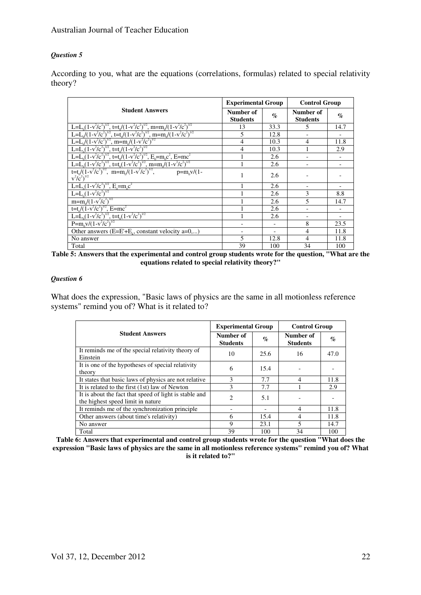#### *Question 5*

According to you, what are the equations (correlations, formulas) related to special relativity theory?

|                                                                                                                                                                                                                   |                              | <b>Experimental Group</b> |                              | <b>Control Group</b> |  |
|-------------------------------------------------------------------------------------------------------------------------------------------------------------------------------------------------------------------|------------------------------|---------------------------|------------------------------|----------------------|--|
| <b>Student Answers</b>                                                                                                                                                                                            | Number of<br><b>Students</b> | $\%$                      | Number of<br><b>Students</b> | $\%$                 |  |
| L=L <sub>0</sub> (1-v <sup>2</sup> /c <sup>2</sup> ) <sup>1/2</sup> , t=t <sub>0</sub> /(1-v <sup>2</sup> /c <sup>2</sup> ) <sup>1/2</sup> , m=m <sub>0</sub> /(1-v <sup>2</sup> /c <sup>2</sup> ) <sup>1/2</sup> | 13                           | 33.3                      | 5                            | 14.7                 |  |
| L=L <sub>0</sub> $((1-v^2/c^2)^{1/2}, t=t_0/(1-v^2/c^2)^{1/2}, m=m_0/(1-v^2/c^2)^{1/2}$                                                                                                                           | 5                            | 12.8                      |                              |                      |  |
| $\frac{1}{L=L_0/(1-v^2/c^2)^{1/2}}$ , m=m <sub>o</sub> $/(1-v^2/c^2)^{1/2}$                                                                                                                                       | 4                            | 10.3                      | 4                            | 11.8                 |  |
| L=L <sub>0</sub> (1-v <sup>2</sup> /c <sup>2</sup> ) <sup>1/2</sup> , t=t <sub>0</sub> /(1-v <sup>2</sup> /c <sup>2</sup> ) <sup>1/2</sup>                                                                        | 4                            | 10.3                      |                              | 2.9                  |  |
| L=L <sub>0</sub> (1-v <sup>2</sup> /c <sup>2</sup> ) <sup>1/2</sup> , t=t <sub>0</sub> /(1-v <sup>2</sup> /c <sup>2</sup> ) <sup>1/2</sup> , E <sub>0</sub> =m <sub>0</sub> c <sup>2</sup> , E=mc <sup>2</sup>    |                              | 2.6                       |                              |                      |  |
| L=L <sub>0</sub> (1-v <sup>2</sup> /c <sup>2</sup> ) <sup>1/2</sup> , t=t <sub>0</sub> (1-v <sup>2</sup> /c <sup>2</sup> ) <sup>1/2</sup> , m=m <sub>0</sub> /(1-v <sup>2</sup> /c <sup>2</sup> ) <sup>1/2</sup>  |                              | 2.6                       |                              |                      |  |
| $t=t/(1-v^2/c^2)^{1/2}$ , m=m <sub>o</sub> $/(1-v^2/c^2)^{1/2}$ , p=m <sub>o</sub> v/(1-<br>$v^2/c^2)^{1/2}$                                                                                                      |                              | 2.6                       |                              |                      |  |
| $L=L_0(1-v^2/c^2)^{1/2}$ , $E_0= m_0c^2$<br>L=L <sub>0</sub> (1-v <sup>2</sup> /c <sup>2</sup> ) <sup>1/2</sup>                                                                                                   |                              | 2.6                       |                              |                      |  |
|                                                                                                                                                                                                                   |                              | 2.6                       | 3                            | 8.8                  |  |
| $m=m/(1-v^2/c^2)^{1/2}$                                                                                                                                                                                           |                              | 2.6                       | $\overline{\phantom{0}}$     | 14.7                 |  |
| t=t <sub>o</sub> /(1-v <sup>2</sup> /c <sup>2</sup> ) <sup>1/2</sup> , E=mc <sup>2</sup>                                                                                                                          |                              | 2.6                       |                              |                      |  |
| L=L <sub>0</sub> (1-v <sup>2</sup> /c <sup>2</sup> ) <sup>1/2</sup> , t=t <sub>0</sub> (1-v <sup>2</sup> /c <sup>2</sup> ) <sup>1/2</sup>                                                                         |                              | 2.6                       |                              |                      |  |
| $P=m_0v/(1-v^2/c^2)^{1/2}$                                                                                                                                                                                        |                              |                           | 8                            | 23.5                 |  |
| Other answers $(E=E^*+E_0)$ , constant velocity a=0,)                                                                                                                                                             |                              |                           | 4                            | 11.8                 |  |
| No answer                                                                                                                                                                                                         | 5                            | 12.8                      | 4                            | 11.8                 |  |
| Total                                                                                                                                                                                                             | 39                           | 100                       | 34                           | 100                  |  |

| Table 5: Answers that the experimental and control group students wrote for the question, "What are the |  |
|---------------------------------------------------------------------------------------------------------|--|
| equations related to special relativity theory?"                                                        |  |

#### *Question 6*

What does the expression, "Basic laws of physics are the same in all motionless reference systems" remind you of? What is it related to?

|                                                                                             | <b>Experimental Group</b>    |                  | <b>Control Group</b>         |                 |
|---------------------------------------------------------------------------------------------|------------------------------|------------------|------------------------------|-----------------|
| <b>Student Answers</b>                                                                      | Number of<br><b>Students</b> | $\mathcal{O}'_0$ | Number of<br><b>Students</b> | $\mathcal{A}_0$ |
| It reminds me of the special relativity theory of<br>Einstein                               | 10                           | 25.6             | 16                           | 47.0            |
| It is one of the hypotheses of special relativity<br>theory                                 | 6                            | 15.4             |                              |                 |
| It states that basic laws of physics are not relative                                       | 3                            | 7.7              | $\overline{4}$               | 11.8            |
| It is related to the first (1st) law of Newton                                              | 3                            | 7.7              |                              | 2.9             |
| It is about the fact that speed of light is stable and<br>the highest speed limit in nature | 2                            | 5.1              |                              |                 |
| It reminds me of the synchronization principle                                              |                              |                  | $\overline{4}$               | 11.8            |
| Other answers (about time's relativity)                                                     | 6                            | 15.4             | 4                            | 11.8            |
| 9<br>No answer                                                                              |                              | 23.1             | 5                            | 14.7            |
| Total                                                                                       | 39                           | 100              | 34                           | 100             |

**Table 6: Answers that experimental and control group students wrote for the question "What does the expression "Basic laws of physics are the same in all motionless reference systems" remind you of? What is it related to?"**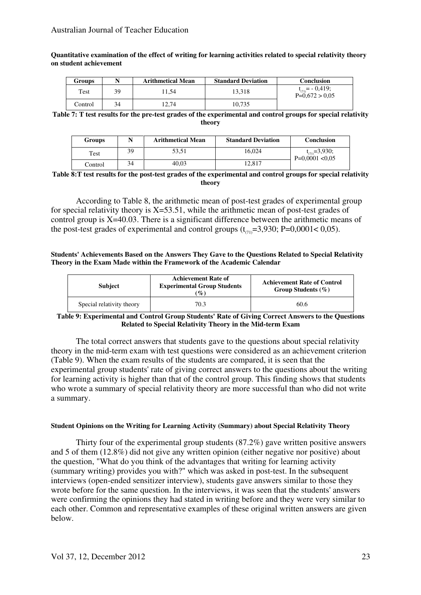**Quantitative examination of the effect of writing for learning activities related to special relativity theory on student achievement** 

| Groups  |    | <b>Arithmetical Mean</b> | <b>Standard Deviation</b> | <b>Conclusion</b>                        |
|---------|----|--------------------------|---------------------------|------------------------------------------|
| Test    | 39 | 11.54                    | 13.318                    | $= -0.419$ ;<br>(71)<br>$P=0.672 > 0.05$ |
| Control | 34 | 12,74                    | 10,735                    |                                          |

**Table 7: T test results for the pre-test grades of the experimental and control groups for special relativity theory** 

| <b>Groups</b> | N  | <b>Arithmetical Mean</b> | <b>Standard Deviation</b> | <b>Conclusion</b>                             |
|---------------|----|--------------------------|---------------------------|-----------------------------------------------|
| Test          | 39 | 53.51                    | 16.024                    | $t_{\text{CD}} = 3,930;$<br>$P=0.0001 < 0.05$ |
| Control       | 34 | 40.03                    | 2.817                     |                                               |

**Table 8:T test results for the post-test grades of the experimental and control groups for special relativity theory** 

According to Table 8, the arithmetic mean of post-test grades of experimental group for special relativity theory is  $X=53.51$ , while the arithmetic mean of post-test grades of control group is  $X=40.03$ . There is a significant difference between the arithmetic means of the post-test grades of experimental and control groups  $(t_{\text{cm}}=3,930; P=0,0001<0,05)$ .

**Students' Achievements Based on the Answers They Gave to the Questions Related to Special Relativity Theory in the Exam Made within the Framework of the Academic Calendar** 

| <b>Subject</b>            | <b>Achievement Rate of</b><br><b>Experimental Group Students</b><br>$\mathcal{O}_0$ | <b>Achievement Rate of Control</b><br>Group Students $(\% )$ |
|---------------------------|-------------------------------------------------------------------------------------|--------------------------------------------------------------|
| Special relativity theory | 70.3                                                                                | 60.6                                                         |

#### **Table 9: Experimental and Control Group Students' Rate of Giving Correct Answers to the Questions Related to Special Relativity Theory in the Mid-term Exam**

The total correct answers that students gave to the questions about special relativity theory in the mid-term exam with test questions were considered as an achievement criterion (Table 9). When the exam results of the students are compared, it is seen that the experimental group students' rate of giving correct answers to the questions about the writing for learning activity is higher than that of the control group. This finding shows that students who wrote a summary of special relativity theory are more successful than who did not write a summary.

#### **Student Opinions on the Writing for Learning Activity (Summary) about Special Relativity Theory**

Thirty four of the experimental group students (87.2%) gave written positive answers and 5 of them (12.8%) did not give any written opinion (either negative nor positive) about the question, "What do you think of the advantages that writing for learning activity (summary writing) provides you with?" which was asked in post-test. In the subsequent interviews (open-ended sensitizer interview), students gave answers similar to those they wrote before for the same question. In the interviews, it was seen that the students' answers were confirming the opinions they had stated in writing before and they were very similar to each other. Common and representative examples of these original written answers are given below.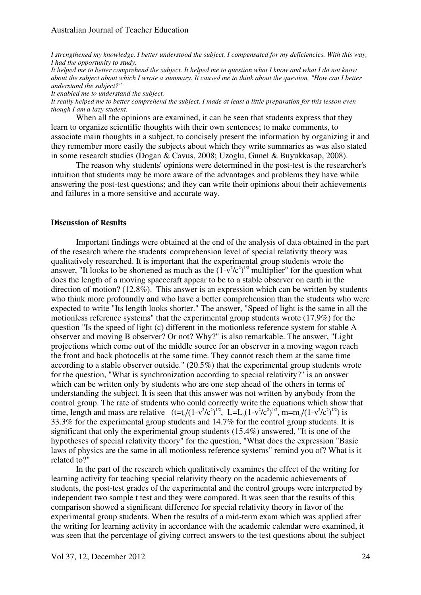*I strengthened my knowledge, I better understood the subject, I compensated for my deficiencies. With this way, I had the opportunity to study.* 

*It helped me to better comprehend the subject. It helped me to question what I know and what I do not know about the subject about which I wrote a summary. It caused me to think about the question, "How can I better understand the subject?"* 

*It enabled me to understand the subject.* 

*It really helped me to better comprehend the subject. I made at least a little preparation for this lesson even though I am a lazy student.* 

When all the opinions are examined, it can be seen that students express that they learn to organize scientific thoughts with their own sentences; to make comments, to associate main thoughts in a subject, to concisely present the information by organizing it and they remember more easily the subjects about which they write summaries as was also stated in some research studies (Dogan & Cavus, 2008; Uzoglu, Gunel & Buyukkasap, 2008).

The reason why students' opinions were determined in the post-test is the researcher's intuition that students may be more aware of the advantages and problems they have while answering the post-test questions; and they can write their opinions about their achievements and failures in a more sensitive and accurate way.

#### **Discussion of Results**

Important findings were obtained at the end of the analysis of data obtained in the part of the research where the students' comprehension level of special relativity theory was qualitatively researched. It is important that the experimental group students wrote the answer, "It looks to be shortened as much as the  $(1-v^2/c^2)^{1/2}$  multiplier" for the question what does the length of a moving spacecraft appear to be to a stable observer on earth in the direction of motion? (12.8%). This answer is an expression which can be written by students who think more profoundly and who have a better comprehension than the students who were expected to write "Its length looks shorter." The answer, "Speed of light is the same in all the motionless reference systems" that the experimental group students wrote (17.9%) for the question "Is the speed of light (c) different in the motionless reference system for stable A observer and moving B observer? Or not? Why?" is also remarkable. The answer, "Light projections which come out of the middle source for an observer in a moving wagon reach the front and back photocells at the same time. They cannot reach them at the same time according to a stable observer outside." (20.5%) that the experimental group students wrote for the question, "What is synchronization according to special relativity?" is an answer which can be written only by students who are one step ahead of the others in terms of understanding the subject. It is seen that this answer was not written by anybody from the control group. The rate of students who could correctly write the equations which show that time, length and mass are relative  $(t=t_0/(1-v^2/c^2)^{1/2}$ , L=L<sub>0</sub>(1-v<sup>2</sup>/c<sup>2</sup>)<sup>1/2</sup>, m=m<sub>0</sub>/(1-v<sup>2</sup>/c<sup>2</sup>)<sup>1/2</sup>) is 33.3% for the experimental group students and 14.7% for the control group students. It is significant that only the experimental group students (15.4%) answered, "It is one of the hypotheses of special relativity theory" for the question, "What does the expression "Basic laws of physics are the same in all motionless reference systems" remind you of? What is it related to?"

In the part of the research which qualitatively examines the effect of the writing for learning activity for teaching special relativity theory on the academic achievements of students, the post-test grades of the experimental and the control groups were interpreted by independent two sample t test and they were compared. It was seen that the results of this comparison showed a significant difference for special relativity theory in favor of the experimental group students. When the results of a mid-term exam which was applied after the writing for learning activity in accordance with the academic calendar were examined, it was seen that the percentage of giving correct answers to the test questions about the subject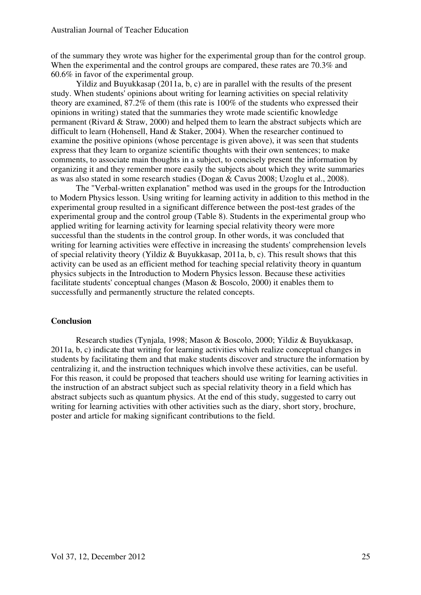of the summary they wrote was higher for the experimental group than for the control group. When the experimental and the control groups are compared, these rates are 70.3% and 60.6% in favor of the experimental group.

Yildiz and Buyukkasap (2011a, b, c) are in parallel with the results of the present study. When students' opinions about writing for learning activities on special relativity theory are examined, 87.2% of them (this rate is 100% of the students who expressed their opinions in writing) stated that the summaries they wrote made scientific knowledge permanent (Rivard & Straw, 2000) and helped them to learn the abstract subjects which are difficult to learn (Hohensell, Hand & Staker, 2004). When the researcher continued to examine the positive opinions (whose percentage is given above), it was seen that students express that they learn to organize scientific thoughts with their own sentences; to make comments, to associate main thoughts in a subject, to concisely present the information by organizing it and they remember more easily the subjects about which they write summaries as was also stated in some research studies (Dogan & Cavus 2008; Uzoglu et al., 2008).

The "Verbal-written explanation" method was used in the groups for the Introduction to Modern Physics lesson. Using writing for learning activity in addition to this method in the experimental group resulted in a significant difference between the post-test grades of the experimental group and the control group (Table 8). Students in the experimental group who applied writing for learning activity for learning special relativity theory were more successful than the students in the control group. In other words, it was concluded that writing for learning activities were effective in increasing the students' comprehension levels of special relativity theory (Yildiz & Buyukkasap, 2011a, b, c). This result shows that this activity can be used as an efficient method for teaching special relativity theory in quantum physics subjects in the Introduction to Modern Physics lesson. Because these activities facilitate students' conceptual changes (Mason & Boscolo, 2000) it enables them to successfully and permanently structure the related concepts.

### **Conclusion**

Research studies (Tynjala, 1998; Mason & Boscolo, 2000; Yildiz & Buyukkasap, 2011a, b, c) indicate that writing for learning activities which realize conceptual changes in students by facilitating them and that make students discover and structure the information by centralizing it, and the instruction techniques which involve these activities, can be useful. For this reason, it could be proposed that teachers should use writing for learning activities in the instruction of an abstract subject such as special relativity theory in a field which has abstract subjects such as quantum physics. At the end of this study, suggested to carry out writing for learning activities with other activities such as the diary, short story, brochure, poster and article for making significant contributions to the field.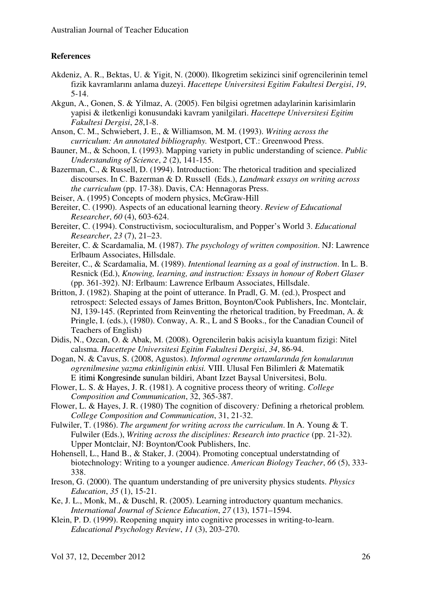# **References**

- Akdeniz, A. R., Bektas, U. & Yigit, N. (2000). Ilkogretim sekizinci sinif ogrencilerinin temel fizik kavramlarını anlama duzeyi. *Hacettepe Universitesi Egitim Fakultesi Dergisi*, *19*, 5-14.
- Akgun, A., Gonen, S. & Yilmaz, A. (2005). Fen bilgisi ogretmen adaylarinin karisimlarin yapisi & iletkenligi konusundaki kavram yanilgilari. *Hacettepe Universitesi Egitim Fakultesi Dergisi*, *28*,1-8.
- Anson, C. M., Schwiebert, J. E., & Williamson, M. M. (1993). *Writing across the curriculum: An annotated bibliography.* Westport, CT.: Greenwood Press.
- Bauner, M., & Schoon, I. (1993). Mapping variety in public understanding of science. *Public Understanding of Science*, *2* (2), 141-155.
- Bazerman, C., & Russell, D. (1994). Introduction: The rhetorical tradition and specialized discourses. In C. Bazerman & D. Russell (Eds.), *Landmark essays on writing across the curriculum* (pp. 17-38). Davis, CA: Hennagoras Press.
- Beiser, A. (1995) Concepts of modern physics, McGraw-Hill
- Bereiter, C. (1990). Aspects of an educational learning theory. *Review of Educational Researcher*, *60* (4), 603-624.
- Bereiter, C. (1994). Constructivism, socioculturalism, and Popper's World 3. *Educational Researcher*, *23* (7), 21–23.
- Bereiter, C. & Scardamalia, M. (1987). *The psychology of written composition*. NJ: Lawrence Erlbaum Associates, Hillsdale.
- Bereiter, C., & Scardamalia, M. (1989). *Intentional learning as a goal of instruction*. In L. B. Resnick (Ed.), *Knowing, learning, and instruction: Essays in honour of Robert Glaser* (pp. 361-392). NJ: Erlbaum: Lawrence Erlbaum Associates, Hillsdale.
- Britton, J. (1982). Shaping at the point of utterance. In Pradl, G. M. (ed.), Prospect and retrospect: Selected essays of James Britton, Boynton/Cook Publishers, Inc. Montclair, NJ, 139-145. (Reprinted from Reinventing the rhetorical tradition, by Freedman, A. & Pringle, I. (eds.), (1980). Conway, A. R., L and S Books., for the Canadian Council of Teachers of English)
- Didis, N., Ozcan, O. & Abak, M. (2008). Ogrencilerin bakis acisiyla kuantum fizigi: Nitel calısma. *Hacettepe Universitesi Egitim Fakultesi Dergisi*, *34*, 86-94.
- Dogan, N. & Cavus, S. (2008, Agustos). *Informal ogrenme ortamlarında fen konularının ogrenilmesine yazma etkinliginin etkisi.* VIII. Ulusal Fen Bilimleri & Matematik E itimi Kongresinde sunulan bildiri, Abant Izzet Baysal Universitesi, Bolu.
- Flower, L. S. & Hayes, J. R. (1981). A cognitive process theory of writing. *College Composition and Communication*, 32, 365-387.
- Flower, L. & Hayes, J. R. (1980) The cognition of discovery*:* Defining a rhetorical problem*. College Composition and Communication*, 31, 21-32.
- Fulwiler, T. (1986). *The argument for writing across the curriculum*. In A. Young & T. Fulwiler (Eds.), *Writing across the disciplines: Research into practice* (pp. 21-32). Upper Montclair, NJ: Boynton/Cook Publishers, Inc.
- Hohensell, L., Hand B., & Staker, J. (2004). Promoting conceptual understatnding of biotechnology: Writing to a younger audience. *American Biology Teacher*, *66* (5), 333- 338.
- Ireson, G. (2000). The quantum understanding of pre university physics students. *Physics Education*, *35* (1), 15-21.
- Ke, J. L., Monk, M., & Duschl, R. (2005). Learning introductory quantum mechanics. *International Journal of Science Education*, *27* (13), 1571–1594.
- Klein, P. D. (1999). Reopening ınquiry into cognitive processes in writing-to-learn. *Educational Psychology Review*, *11* (3), 203-270.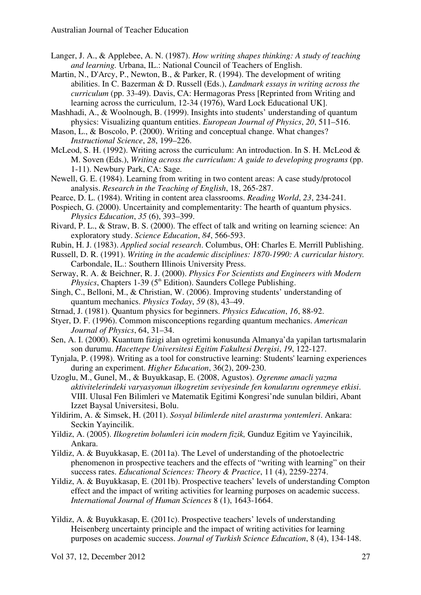- Langer, J. A., & Applebee, A. N. (1987). *How writing shapes thinking: A study of teaching and learning.* Urbana, IL.: National Council of Teachers of English.
- Martin, N., D'Arcy, P., Newton, B., & Parker, R. (1994). The development of writing abilities. In C. Bazerman & D. Russell (Eds.), *Landmark essays in writing across the curriculum* (pp. 33-49). Davis, CA: Hermagoras Press [Reprinted from Writing and learning across the curriculum, 12-34 (1976), Ward Lock Educational UK].

Mashhadi, A., & Woolnough, B. (1999). Insights into students' understanding of quantum physics: Visualizing quantum entities. *European Journal of Physics*, *20*, 511–516.

- Mason, L., & Boscolo, P. (2000). Writing and conceptual change. What changes? *Instructional Science*, *28*, 199–226.
- McLeod, S. H. (1992). Writing across the curriculum: An introduction. In S. H. McLeod & M. Soven (Eds.), *Writing across the curriculum: A guide to developing programs* (pp. 1-11). Newbury Park, CA: Sage.
- Newell, G. E. (1984). Learning from writing in two content areas: A case study/protocol analysis. *Research in the Teaching of English*, 18, 265-287.
- Pearce, D. L. (1984). Writing in content area classrooms. *Reading World*, *23*, 234-241.
- Pospiech, G. (2000). Uncertainity and complementarity: The hearth of quantum physics. *Physics Education*, *35* (6), 393–399.
- Rivard, P. L., & Straw, B. S. (2000). The effect of talk and writing on learning science: An exploratory study. *Science Education*, *84*, 566-593.
- Rubin, H. J. (1983). *Applied social research*. Columbus, OH: Charles E. Merrill Publishing.
- Russell, D. R. (1991). *Writing in the academic disciplines: 1870-1990: A curricular history.*  Carbondale, IL.: Southern Illinois University Press.
- Serway, R. A. & Beichner, R. J. (2000). *Physics For Scientists and Engineers with Modern Physics*, Chapters 1-39 (5<sup>th</sup> Edition). Saunders College Publishing.
- Singh, C., Belloni, M., & Christian, W. (2006). Improving students' understanding of quantum mechanics. *Physics Today*, *59* (8), 43–49.
- Strnad, J. (1981). Quantum physics for beginners. *Physics Education*, *16*, 88-92.
- Styer, D. F. (1996). Common misconceptions regarding quantum mechanics. *American Journal of Physics*, 64, 31–34.
- Sen, A. I. (2000). Kuantum fizigi alan ogretimi konusunda Almanya'da yapilan tartısmalarin son durumu. *Hacettepe Universitesi Egitim Fakultesi Dergisi*, *19*, 122-127.
- Tynjala, P. (1998). Writing as a tool for constructive learning: Students' learning experiences during an experiment. *Higher Education*, 36(2), 209-230.
- Uzoglu, M., Gunel, M., & Buyukkasap, E. (2008, Agustos). *Ogrenme amacli yazma aktivitelerindeki varyasyonun ilkogretim seviyesinde fen konularını ogrenmeye etkisi*. VIII. Ulusal Fen Bilimleri ve Matematik Egitimi Kongresi'nde sunulan bildiri, Abant Izzet Baysal Universitesi, Bolu.
- Yildirim, A. & Simsek, H. (2011). *Sosyal bilimlerde nitel arastırma yontemleri*. Ankara: Seckin Yayincilik.
- Yildiz, A. (2005). *Ilkogretim bolumleri icin modern fizik,* Gunduz Egitim ve Yayincilıik, Ankara.
- Yildiz, A. & Buyukkasap, E. (2011a). The Level of understanding of the photoelectric phenomenon in prospective teachers and the effects of "writing with learning" on their success rates. *Educational Sciences: Theory & Practice*, 11 (4), 2259-2274.
- Yildiz, A. & Buyukkasap, E. (2011b). Prospective teachers' levels of understanding Compton effect and the impact of writing activities for learning purposes on academic success. *International Journal of Human Sciences* 8 (1), 1643-1664.
- Yildiz, A. & Buyukkasap, E. (2011c). Prospective teachers' levels of understanding Heisenberg uncertainty principle and the impact of writing activities for learning purposes on academic success. *Journal of Turkish Science Education*, 8 (4), 134-148.

Vol 37, 12, December 2012 27